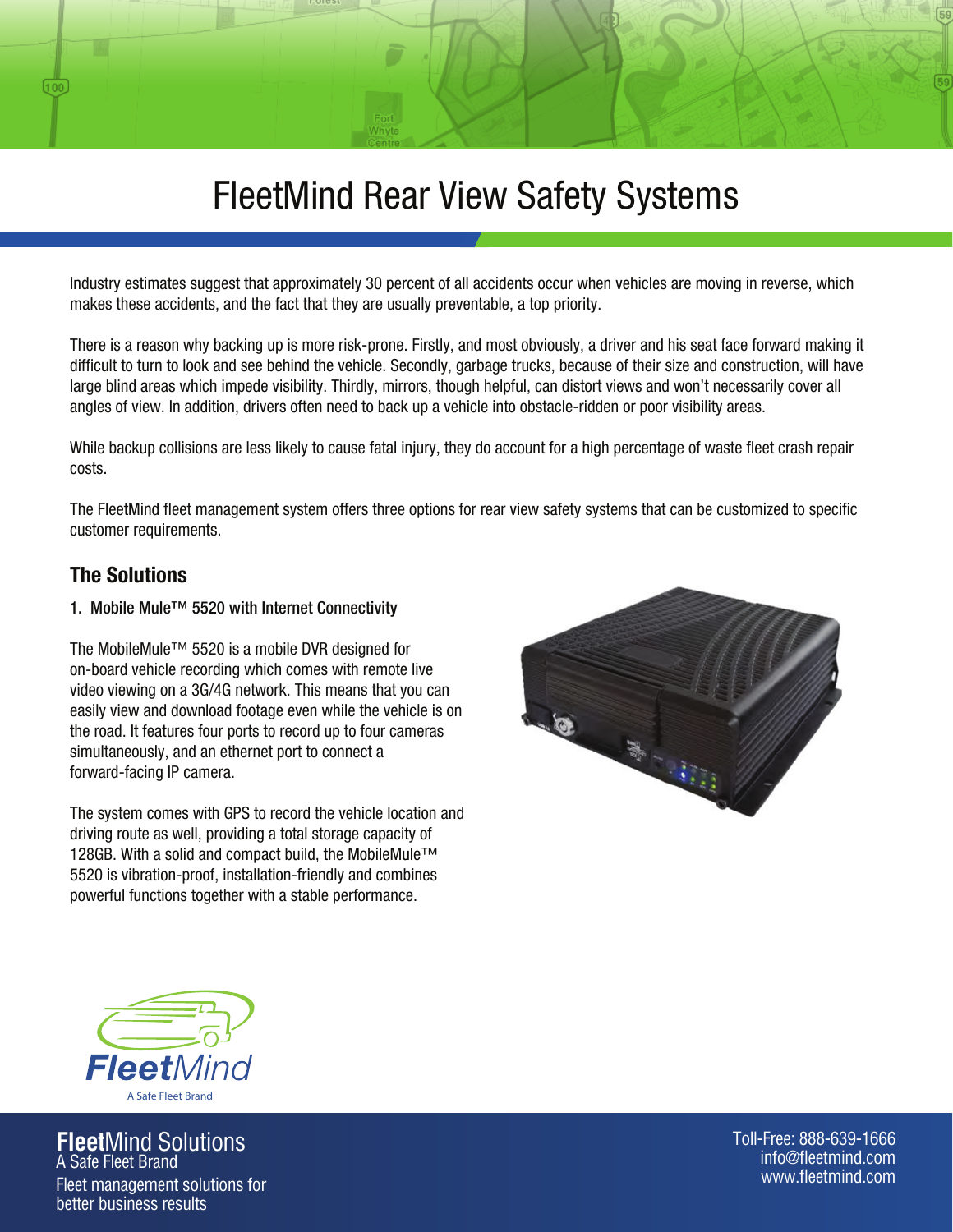# FleetMind Rear View Safety Systems

Industry estimates suggest that approximately 30 percent of all accidents occur when vehicles are moving in reverse, which makes these accidents, and the fact that they are usually preventable, a top priority.

There is a reason why backing up is more risk-prone. Firstly, and most obviously, a driver and his seat face forward making it difficult to turn to look and see behind the vehicle. Secondly, garbage trucks, because of their size and construction, will have large blind areas which impede visibility. Thirdly, mirrors, though helpful, can distort views and won't necessarily cover all angles of view. In addition, drivers often need to back up a vehicle into obstacle-ridden or poor visibility areas.

While backup collisions are less likely to cause fatal injury, they do account for a high percentage of waste fleet crash repair costs.

The FleetMind fleet management system offers three options for rear view safety systems that can be customized to specific customer requirements.

# The Solutions

000

### 1. Mobile Mule™ 5520 with Internet Connectivity

The MobileMule™ 5520 is a mobile DVR designed for on-board vehicle recording which comes with remote live video viewing on a 3G/4G network. This means that you can easily view and download footage even while the vehicle is on the road. It features four ports to record up to four cameras simultaneously, and an ethernet port to connect a forward-facing IP camera.

The system comes with GPS to record the vehicle location and driving route as well, providing a total storage capacity of 128GB. With a solid and compact build, the MobileMule™ 5520 is vibration-proof, installation-friendly and combines powerful functions together with a stable performance.





**Fleet**Mind Solutions A Safe Fleet Brand

Fleet management solutions for better business results

Toll-Free: 888-639-1666 info@fleetmind.com www.fleetmind.com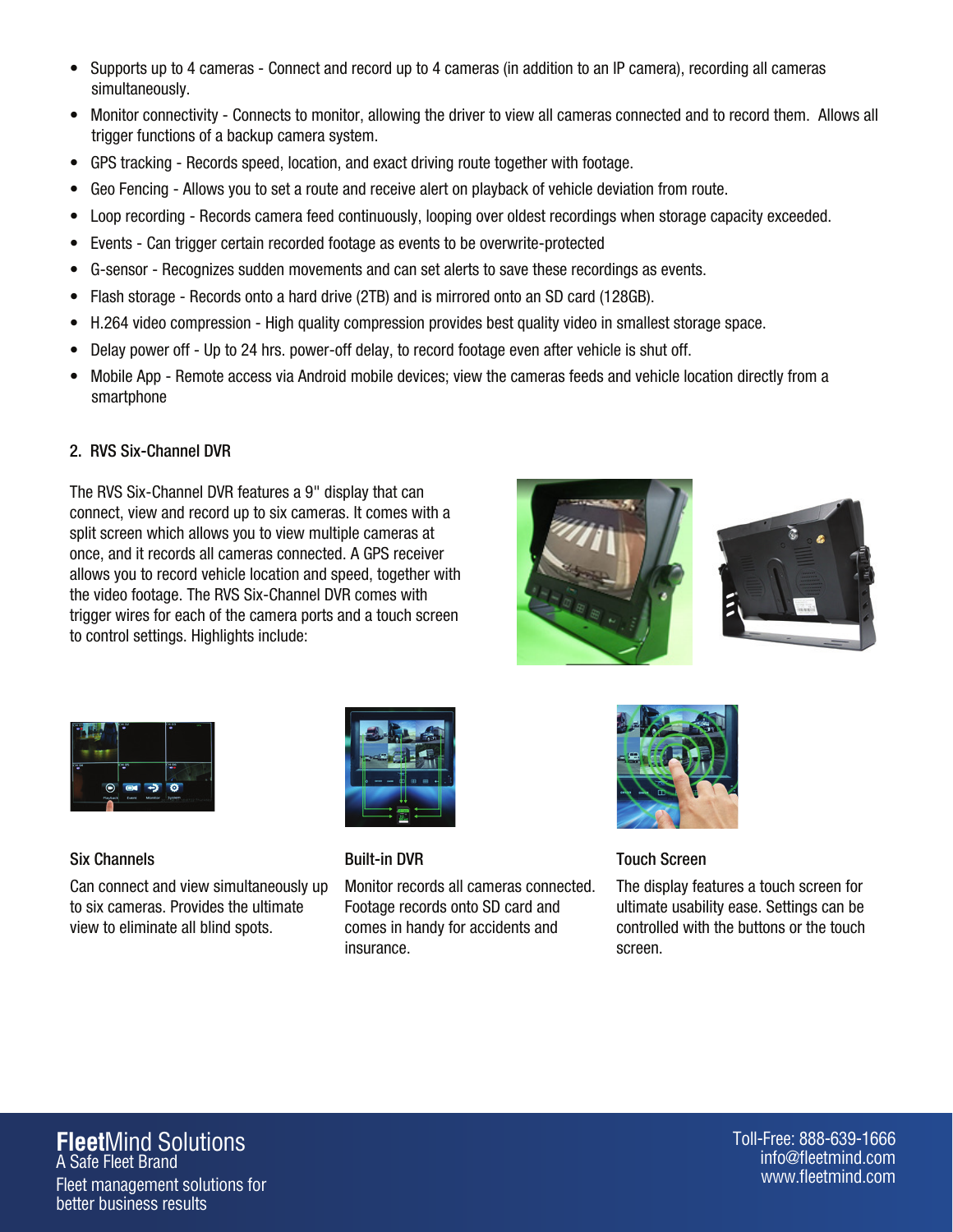- Supports up to 4 cameras Connect and record up to 4 cameras (in addition to an IP camera), recording all cameras simultaneously.
- Monitor connectivity Connects to monitor, allowing the driver to view all cameras connected and to record them. Allows all trigger functions of a backup camera system.
- GPS tracking Records speed, location, and exact driving route together with footage.
- Geo Fencing Allows you to set a route and receive alert on playback of vehicle deviation from route.
- Loop recording Records camera feed continuously, looping over oldest recordings when storage capacity exceeded.
- Events Can trigger certain recorded footage as events to be overwrite-protected
- G-sensor Recognizes sudden movements and can set alerts to save these recordings as events.
- Flash storage Records onto a hard drive (2TB) and is mirrored onto an SD card (128GB).
- H.264 video compression High quality compression provides best quality video in smallest storage space.
- Delay power off Up to 24 hrs. power-off delay, to record footage even after vehicle is shut off.
- Mobile App Remote access via Android mobile devices; view the cameras feeds and vehicle location directly from a smartphone

# 2. RVS Six-Channel DVR

The RVS Six-Channel DVR features a 9" display that can connect, view and record up to six cameras. It comes with a split screen which allows you to view multiple cameras at once, and it records all cameras connected. A GPS receiver allows you to record vehicle location and speed, together with the video footage. The RVS Six-Channel DVR comes with trigger wires for each of the camera ports and a touch screen to control settings. Highlights include:







Six Channels

Can connect and view simultaneously up to six cameras. Provides the ultimate view to eliminate all blind spots.



Built-in DVR

Monitor records all cameras connected. Footage records onto SD card and comes in handy for accidents and insurance.



Touch Screen

The display features a touch screen for ultimate usability ease. Settings can be controlled with the buttons or the touch screen.

#### **Fleet**Mind Solutions A Safe Fleet Brand Fleet management solutions for better business results

Toll-Free: 888-639-1666 info@fleetmind.com www.fleetmind.com